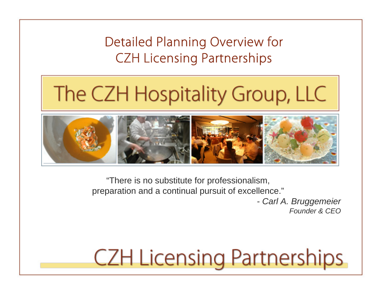Detailed Planning Overview for CZH Licensing Partnerships

# The CZH Hospitality Group, LLC



"There is no substitute for professionalism, preparation and a continual pursuit of excellence."

> *- Carl A. Bruggemeier Founder & CEO*

## **CZH Licensing Partnerships**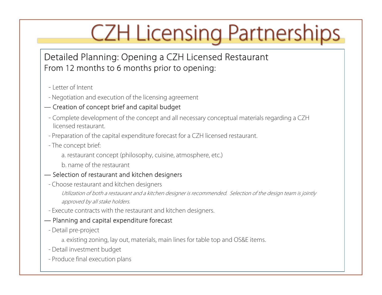## Detailed Planning: Opening a CZH Licensed Restaurant From 12 months to 6 months prior to opening:

- Letter of Intent
- Negotiation and execution of the licensing agreement

### — Creation of concept brief and capital budget

- Complete development of the concept and all necessary conceptual materials regarding a CZH licensed restaurant.
- Preparation of the capital expenditure forecast for a CZH licensed restaurant.
- The concept brief:
	- a. restaurant concept (philosophy, cuisine, atmosphere, etc.)
	- b. name of the restaurant

### — Selection of restaurant and kitchen designers

- Choose restaurant and kitchen designers

Utilization of both a restaurant and a kitchen designer is recommended. Selection of the design team is jointly approved by all stake holders.

- Execute contracts with the restaurant and kitchen designers.

#### — Planning and capital expenditure forecast

- Detail pre-project
	- a. existing zoning, lay out, materials, main lines for table top and OS&E items.
- Detail investment budget
- Produce final execution plans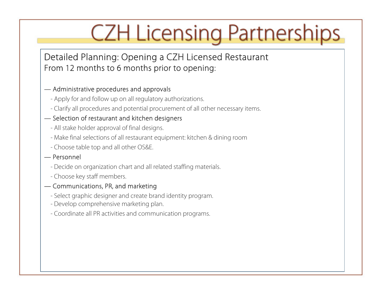Detailed Planning: Opening a CZH Licensed Restaurant From 12 months to 6 months prior to opening:

#### — Administrative procedures and approvals

- Apply for and follow up on all regulatory authorizations.
- Clarify all procedures and potential procurement of all other necessary items.

### — Selection of restaurant and kitchen designers

- All stake holder approval of final designs.
- Make final selections of all restaurant equipment: kitchen & dining room
- Choose table top and all other OS&E.

#### — Personnel

- Decide on organization chart and all related staffing materials.
- Choose key staff members.

#### — Communications, PR, and marketing

- Select graphic designer and create brand identity program.
- Develop comprehensive marketing plan.
- Coordinate all PR activities and communication programs.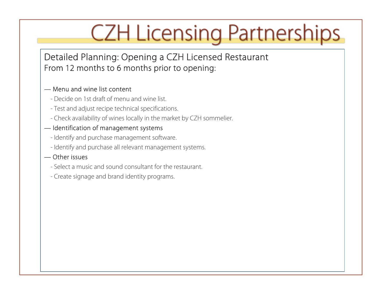Detailed Planning: Opening a CZH Licensed Restaurant From 12 months to 6 months prior to opening:

#### — Menu and wine list content

- Decide on 1st draft of menu and wine list.
- Test and adjust recipe technical specifications.
- Check availability of wines locally in the market by CZH sommelier.

### — Identification of management systems

- Identify and purchase management software.
- Identify and purchase all relevant management systems.

#### — Other issues

- Select a music and sound consultant for the restaurant.
- Create signage and brand identity programs.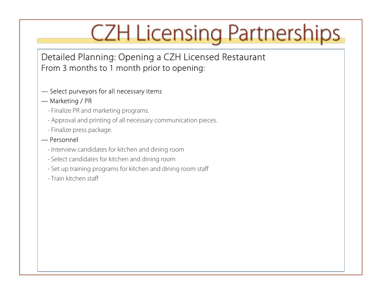Detailed Planning: Opening a CZH Licensed Restaurant From 3 months to 1 month prior to opening:

#### — Select purveyors for all necessary items

#### — Marketing / PR

- Finalize PR and marketing programs.
- Approval and printing of all necessary communication pieces.
- Finalize press package.

#### — Personnel

- Interview candidates for kitchen and dining room
- Select candidates for kitchen and dining room
- Set up training programs for kitchen and dining room staff
- Train kitchen staff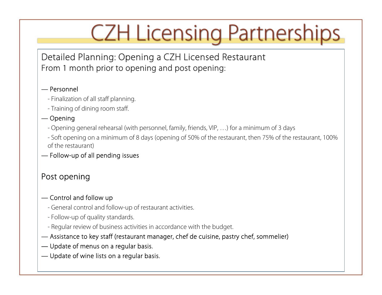Detailed Planning: Opening a CZH Licensed Restaurant From 1 month prior to opening and post opening:

#### — Personnel

- Finalization of all staff planning.
- Training of dining room staff.

### — Opening

- Opening general rehearsal (with personnel, family, friends, VIP, …) for a minimum of 3 days
- Soft opening on a minimum of 8 days (opening of 50% of the restaurant, then 75% of the restaurant, 100% of the restaurant)

### — Follow-up of all pending issues

## Post opening

### — Control and follow up

- General control and follow-up of restaurant activities.
- Follow-up of quality standards.
- Regular review of business activities in accordance with the budget.
- Assistance to key staff (restaurant manager, chef de cuisine, pastry chef, sommelier)
- Update of menus on a regular basis.
- Update of wine lists on a regular basis.